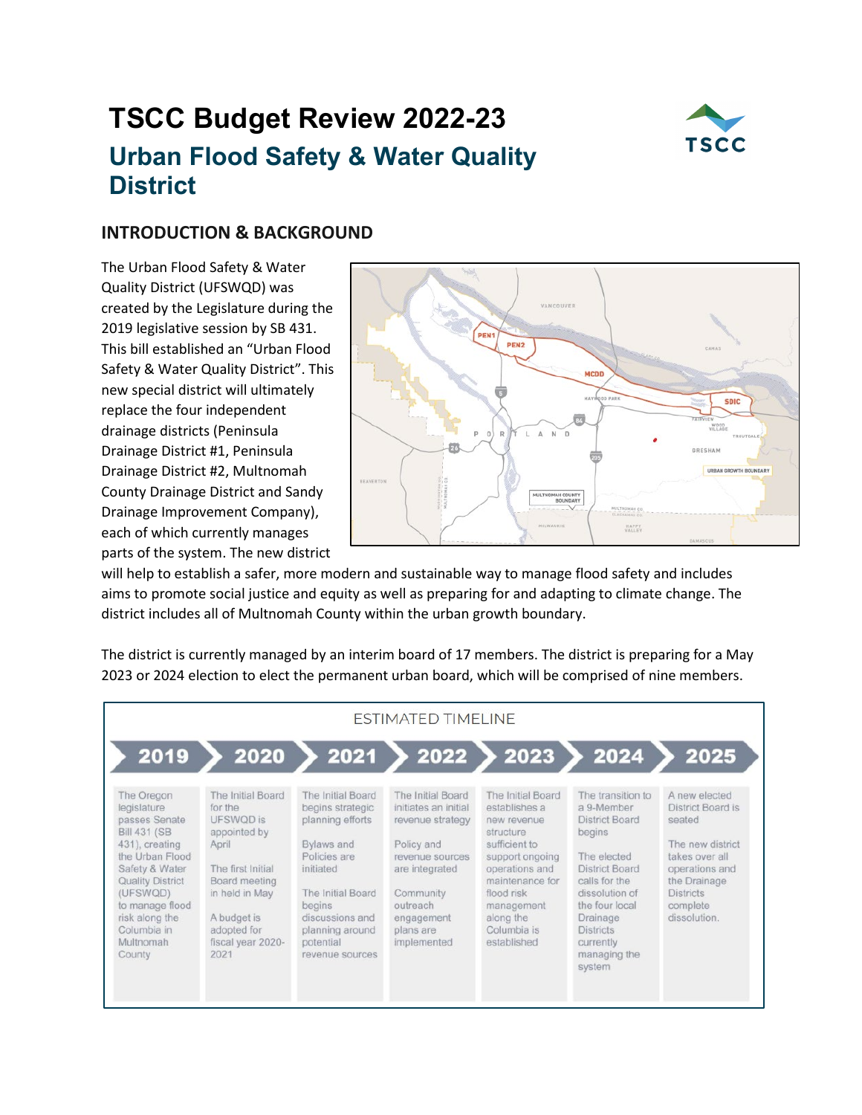# **TSCC Budget Review 2022-23 Urban Flood Safety & Water Quality District**



## **INTRODUCTION & BACKGROUND**

The Urban Flood Safety & Water Quality District (UFSWQD) was created by the Legislature during the 2019 legislative session by SB 431. This bill established an "Urban Flood Safety & Water Quality District". This new special district will ultimately replace the four independent drainage districts (Peninsula Drainage District #1, Peninsula Drainage District #2, Multnomah County Drainage District and Sandy Drainage Improvement Company), each of which currently manages parts of the system. The new district



will help to establish a safer, more modern and sustainable way to manage flood safety and includes aims to promote social justice and equity as well as preparing for and adapting to climate change. The district includes all of Multnomah County within the urban growth boundary.

The district is currently managed by an interim board of 17 members. The district is preparing for a May 2023 or 2024 election to elect the permanent urban board, which will be comprised of nine members.

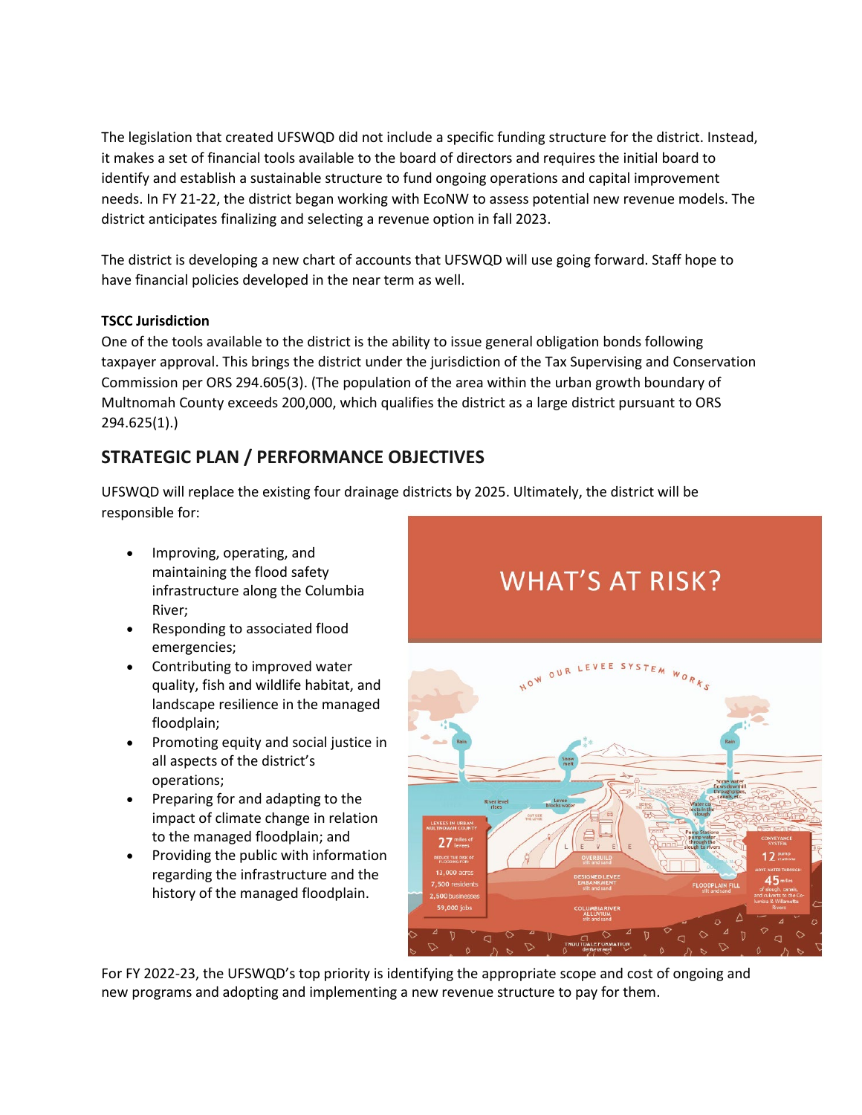The legislation that created UFSWQD did not include a specific funding structure for the district. Instead, it makes a set of financial tools available to the board of directors and requires the initial board to identify and establish a sustainable structure to fund ongoing operations and capital improvement needs. In FY 21-22, the district began working with EcoNW to assess potential new revenue models. The district anticipates finalizing and selecting a revenue option in fall 2023.

The district is developing a new chart of accounts that UFSWQD will use going forward. Staff hope to have financial policies developed in the near term as well.

#### **TSCC Jurisdiction**

One of the tools available to the district is the ability to issue general obligation bonds following taxpayer approval. This brings the district under the jurisdiction of the Tax Supervising and Conservation Commission per ORS 294.605(3). (The population of the area within the urban growth boundary of Multnomah County exceeds 200,000, which qualifies the district as a large district pursuant to ORS 294.625(1).)

## **STRATEGIC PLAN / PERFORMANCE OBJECTIVES**

UFSWQD will replace the existing four drainage districts by 2025. Ultimately, the district will be responsible for:

- Improving, operating, and maintaining the flood safety infrastructure along the Columbia River;
- Responding to associated flood emergencies;
- Contributing to improved water quality, fish and wildlife habitat, and landscape resilience in the managed floodplain;
- Promoting equity and social justice in all aspects of the district's operations;
- Preparing for and adapting to the impact of climate change in relation to the managed floodplain; and
- Providing the public with information regarding the infrastructure and the history of the managed floodplain.

## **WHAT'S AT RISK?**



For FY 2022-23, the UFSWQD's top priority is identifying the appropriate scope and cost of ongoing and new programs and adopting and implementing a new revenue structure to pay for them.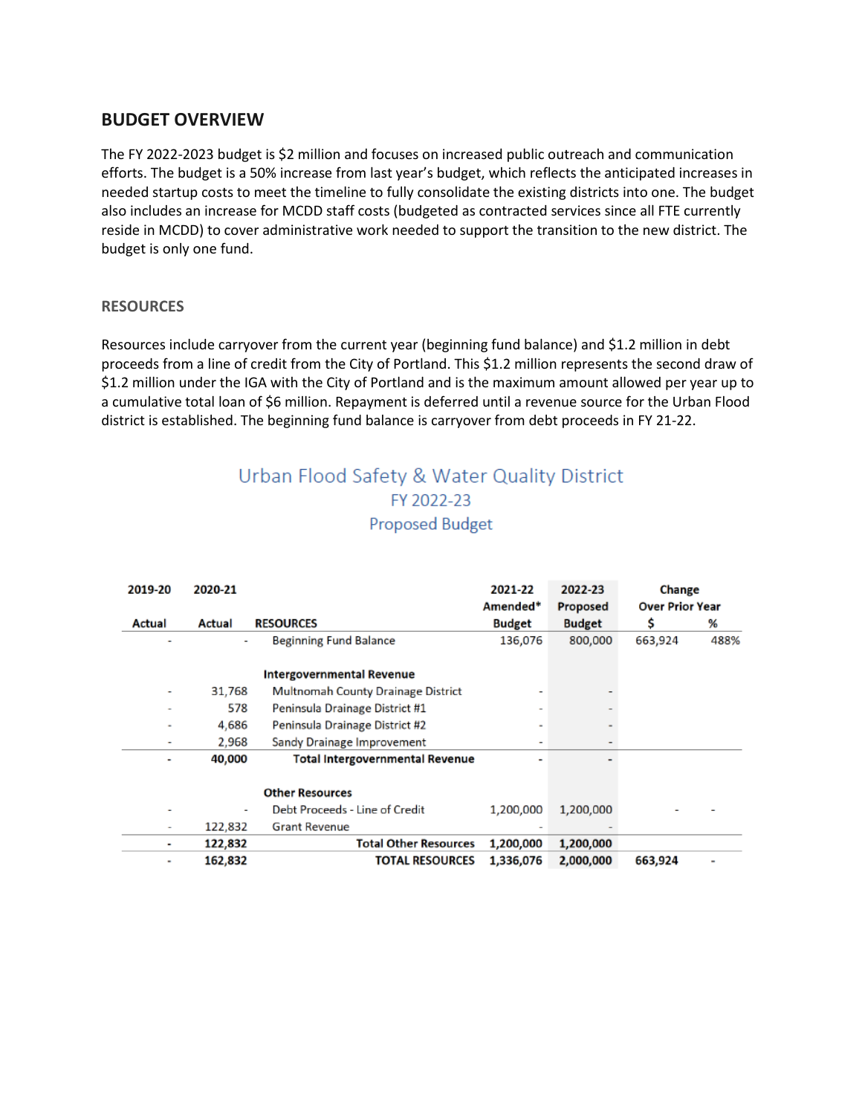### **BUDGET OVERVIEW**

The FY 2022-2023 budget is \$2 million and focuses on increased public outreach and communication efforts. The budget is a 50% increase from last year's budget, which reflects the anticipated increases in needed startup costs to meet the timeline to fully consolidate the existing districts into one. The budget also includes an increase for MCDD staff costs (budgeted as contracted services since all FTE currently reside in MCDD) to cover administrative work needed to support the transition to the new district. The budget is only one fund.

#### **RESOURCES**

Resources include carryover from the current year (beginning fund balance) and \$1.2 million in debt proceeds from a line of credit from the City of Portland. This \$1.2 million represents the second draw of \$1.2 million under the IGA with the City of Portland and is the maximum amount allowed per year up to a cumulative total loan of \$6 million. Repayment is deferred until a revenue source for the Urban Flood district is established. The beginning fund balance is carryover from debt proceeds in FY 21-22.

## Urban Flood Safety & Water Quality District FY 2022-23 **Proposed Budget**

| 2019-20        | 2020-21 |                                        | 2021-22                  | 2022-23       | Change                 |      |
|----------------|---------|----------------------------------------|--------------------------|---------------|------------------------|------|
|                |         |                                        | Amended*                 | Proposed      | <b>Over Prior Year</b> |      |
| Actual         | Actual  | <b>RESOURCES</b>                       | <b>Budget</b>            | <b>Budget</b> | Ś                      | %    |
|                |         | <b>Beginning Fund Balance</b>          | 136,076                  | 800,000       | 663,924                | 488% |
|                |         | <b>Intergovernmental Revenue</b>       |                          |               |                        |      |
|                | 31,768  | Multnomah County Drainage District     |                          |               |                        |      |
|                | 578     | Peninsula Drainage District #1         | $\overline{\phantom{a}}$ |               |                        |      |
| ٠              | 4,686   | Peninsula Drainage District #2         | ٠                        |               |                        |      |
|                | 2.968   | Sandy Drainage Improvement             | ٠                        |               |                        |      |
|                | 40,000  | <b>Total Intergovernmental Revenue</b> | ٠                        |               |                        |      |
|                |         | <b>Other Resources</b>                 |                          |               |                        |      |
|                |         | Debt Proceeds - Line of Credit         | 1,200,000                | 1,200,000     |                        |      |
|                | 122,832 | <b>Grant Revenue</b>                   |                          |               |                        |      |
|                | 122,832 | <b>Total Other Resources</b>           | 1,200,000                | 1,200,000     |                        |      |
| $\blacksquare$ | 162,832 | <b>TOTAL RESOURCES</b>                 | 1,336,076                | 2,000,000     | 663,924                |      |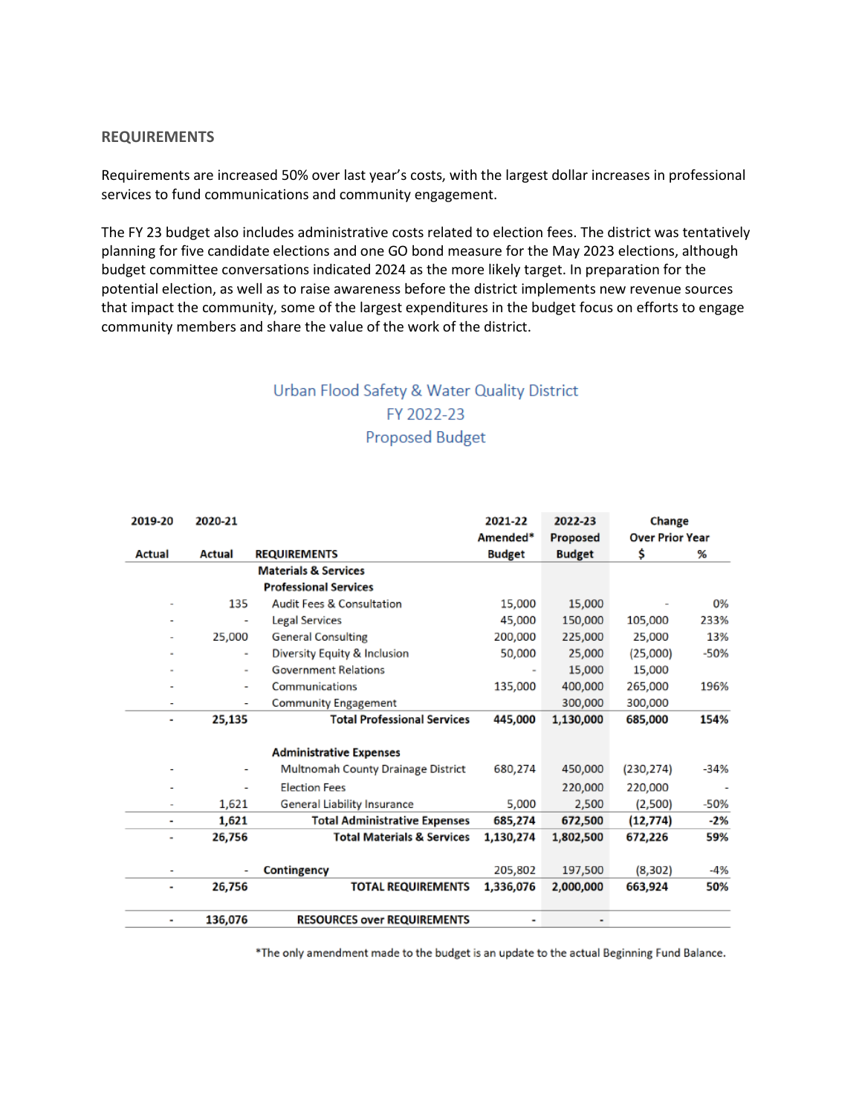#### **REQUIREMENTS**

Requirements are increased 50% over last year's costs, with the largest dollar increases in professional services to fund communications and community engagement.

The FY 23 budget also includes administrative costs related to election fees. The district was tentatively planning for five candidate elections and one GO bond measure for the May 2023 elections, although budget committee conversations indicated 2024 as the more likely target. In preparation for the potential election, as well as to raise awareness before the district implements new revenue sources that impact the community, some of the largest expenditures in the budget focus on efforts to engage community members and share the value of the work of the district.

## Urban Flood Safety & Water Quality District FY 2022-23 **Proposed Budget**

| 2019-20 | 2020-21                         |                                       | 2021-22        | 2022-23       | Change                 |        |
|---------|---------------------------------|---------------------------------------|----------------|---------------|------------------------|--------|
|         |                                 |                                       | Amended*       | Proposed      | <b>Over Prior Year</b> |        |
| Actual  | <b>Actual</b>                   | <b>REQUIREMENTS</b>                   | <b>Budget</b>  | <b>Budget</b> | \$                     | %      |
|         | <b>Materials &amp; Services</b> |                                       |                |               |                        |        |
|         |                                 | <b>Professional Services</b>          |                |               |                        |        |
|         | 135                             | <b>Audit Fees &amp; Consultation</b>  | 15,000         | 15,000        |                        | 0%     |
|         | ۰                               | Legal Services                        | 45,000         | 150,000       | 105,000                | 233%   |
|         | 25,000                          | <b>General Consulting</b>             | 200,000        | 225,000       | 25,000                 | 13%    |
| ٠       | $\blacksquare$                  | Diversity Equity & Inclusion          | 50,000         | 25,000        | (25,000)               | $-50%$ |
| ۰       | $\blacksquare$                  | <b>Government Relations</b>           | $\blacksquare$ | 15,000        | 15,000                 |        |
|         | ÷                               | Communications                        | 135,000        | 400,000       | 265,000                | 196%   |
| ۰       | ۰                               | <b>Community Engagement</b>           |                | 300,000       | 300,000                |        |
| ۰       | 25,135                          | <b>Total Professional Services</b>    | 445,000        | 1,130,000     | 685,000                | 154%   |
|         |                                 |                                       |                |               |                        |        |
|         |                                 | <b>Administrative Expenses</b>        |                |               |                        |        |
|         |                                 | Multnomah County Drainage District    | 680,274        | 450,000       | (230, 274)             | -34%   |
|         | ۰                               | <b>Election Fees</b>                  |                | 220,000       | 220,000                |        |
|         | 1,621                           | <b>General Liability Insurance</b>    | 5.000          | 2,500         | (2,500)                | $-50%$ |
| ٠       | 1,621                           | <b>Total Administrative Expenses</b>  | 685,274        | 672,500       | (12, 774)              | $-2%$  |
| ۰       | 26,756                          | <b>Total Materials &amp; Services</b> | 1,130,274      | 1,802,500     | 672,226                | 59%    |
|         |                                 |                                       |                |               |                        |        |
|         |                                 | Contingency                           | 205,802        | 197,500       | (8,302)                | -4%    |
| ۰       | 26,756                          | <b>TOTAL REQUIREMENTS</b>             | 1,336,076      | 2,000,000     | 663,924                | 50%    |
| ۰       | 136,076                         | <b>RESOURCES over REQUIREMENTS</b>    | ٠              |               |                        |        |

\*The only amendment made to the budget is an update to the actual Beginning Fund Balance.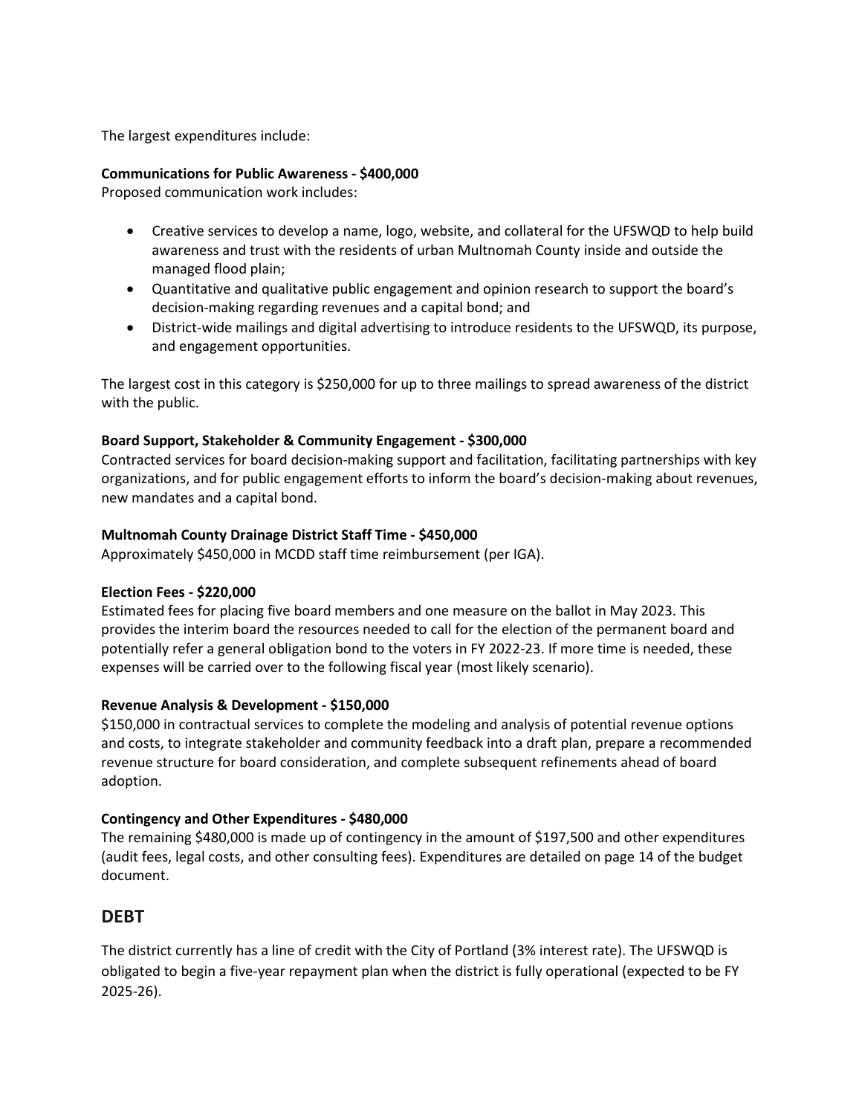The largest expenditures include:

#### **Communications for Public Awareness - \$400,000**

Proposed communication work includes:

- Creative services to develop a name, logo, website, and collateral for the UFSWQD to help build awareness and trust with the residents of urban Multnomah County inside and outside the managed flood plain;
- Quantitative and qualitative public engagement and opinion research to support the board's decision-making regarding revenues and a capital bond; and
- District-wide mailings and digital advertising to introduce residents to the UFSWQD, its purpose, and engagement opportunities.

The largest cost in this category is \$250,000 for up to three mailings to spread awareness of the district with the public.

#### **Board Support, Stakeholder & Community Engagement - \$300,000**

Contracted services for board decision-making support and facilitation, facilitating partnerships with key organizations, and for public engagement efforts to inform the board's decision-making about revenues, new mandates and a capital bond.

#### **Multnomah County Drainage District Staff Time - \$450,000**

Approximately \$450,000 in MCDD staff time reimbursement (per IGA).

#### **Election Fees - \$220,000**

Estimated fees for placing five board members and one measure on the ballot in May 2023. This provides the interim board the resources needed to call for the election of the permanent board and potentially refer a general obligation bond to the voters in FY 2022-23. If more time is needed, these expenses will be carried over to the following fiscal year (most likely scenario).

#### **Revenue Analysis & Development - \$150,000**

\$150,000 in contractual services to complete the modeling and analysis of potential revenue options and costs, to integrate stakeholder and community feedback into a draft plan, prepare a recommended revenue structure for board consideration, and complete subsequent refinements ahead of board adoption.

#### **Contingency and Other Expenditures - \$480,000**

The remaining \$480,000 is made up of contingency in the amount of \$197,500 and other expenditures (audit fees, legal costs, and other consulting fees). Expenditures are detailed on page 14 of the budget document.

#### **DEBT**

The district currently has a line of credit with the City of Portland (3% interest rate). The UFSWQD is obligated to begin a five-year repayment plan when the district is fully operational (expected to be FY 2025-26).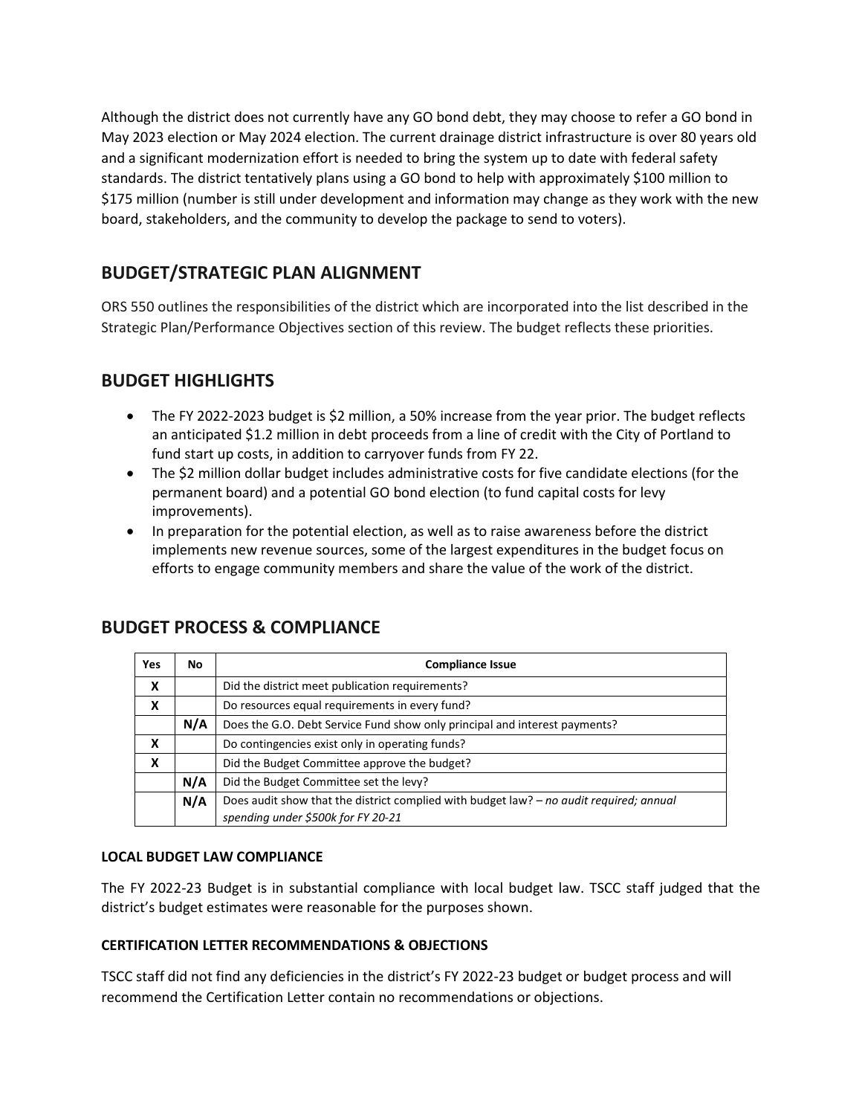Although the district does not currently have any GO bond debt, they may choose to refer a GO bond in May 2023 election or May 2024 election. The current drainage district infrastructure is over 80 years old and a significant modernization effort is needed to bring the system up to date with federal safety standards. The district tentatively plans using a GO bond to help with approximately \$100 million to \$175 million (number is still under development and information may change as they work with the new board, stakeholders, and the community to develop the package to send to voters).

## **BUDGET/STRATEGIC PLAN ALIGNMENT**

ORS 550 outlines the responsibilities of the district which are incorporated into the list described in the Strategic Plan/Performance Objectives section of this review. The budget reflects these priorities.

## **BUDGET HIGHLIGHTS**

- The FY 2022-2023 budget is \$2 million, a 50% increase from the year prior. The budget reflects an anticipated \$1.2 million in debt proceeds from a line of credit with the City of Portland to fund start up costs, in addition to carryover funds from FY 22.
- The \$2 million dollar budget includes administrative costs for five candidate elections (for the permanent board) and a potential GO bond election (to fund capital costs for levy improvements).
- In preparation for the potential election, as well as to raise awareness before the district implements new revenue sources, some of the largest expenditures in the budget focus on efforts to engage community members and share the value of the work of the district.

| <b>Yes</b> | No. | <b>Compliance Issue</b>                                                                 |  |  |  |
|------------|-----|-----------------------------------------------------------------------------------------|--|--|--|
| X          |     | Did the district meet publication requirements?                                         |  |  |  |
| X          |     | Do resources equal requirements in every fund?                                          |  |  |  |
|            | N/A | Does the G.O. Debt Service Fund show only principal and interest payments?              |  |  |  |
| X          |     | Do contingencies exist only in operating funds?                                         |  |  |  |
| X          |     | Did the Budget Committee approve the budget?                                            |  |  |  |
|            | N/A | Did the Budget Committee set the levy?                                                  |  |  |  |
|            | N/A | Does audit show that the district complied with budget law? - no audit required; annual |  |  |  |
|            |     | spending under \$500k for FY 20-21                                                      |  |  |  |

## **BUDGET PROCESS & COMPLIANCE**

#### **LOCAL BUDGET LAW COMPLIANCE**

The FY 2022-23 Budget is in substantial compliance with local budget law. TSCC staff judged that the district's budget estimates were reasonable for the purposes shown.

#### **CERTIFICATION LETTER RECOMMENDATIONS & OBJECTIONS**

TSCC staff did not find any deficiencies in the district's FY 2022-23 budget or budget process and will recommend the Certification Letter contain no recommendations or objections.